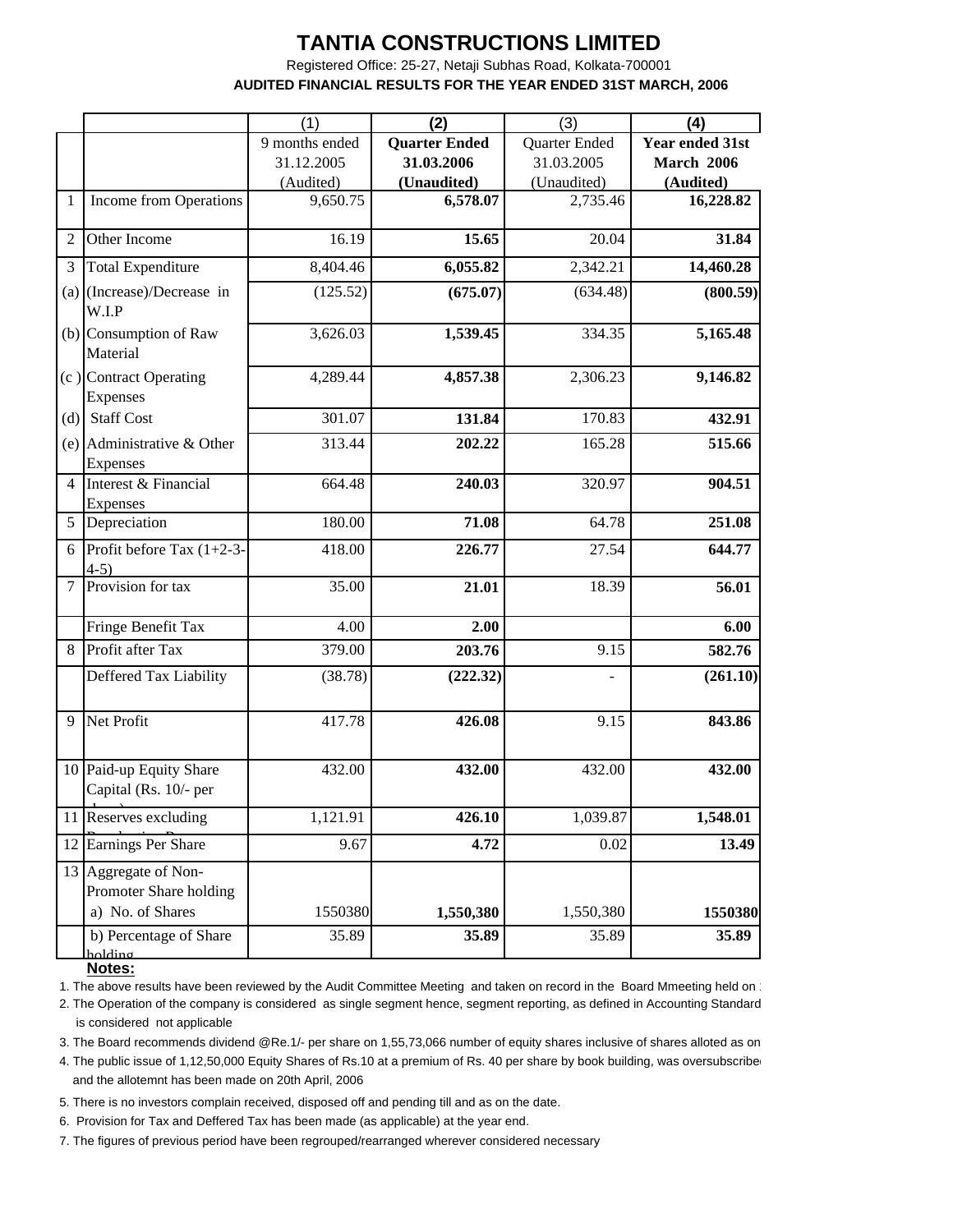## **TANTIA CONSTRUCTIONS LIMITED**

 **AUDITED FINANCIAL RESULTS FOR THE YEAR ENDED 31ST MARCH, 2006** Registered Office: 25-27, Netaji Subhas Road, Kolkata-700001

|                |                                                                    | (1)              | (2)                  | (3)                | (4)              |
|----------------|--------------------------------------------------------------------|------------------|----------------------|--------------------|------------------|
|                |                                                                    | 9 months ended   | <b>Quarter Ended</b> | Quarter Ended      | Year ended 31st  |
|                |                                                                    | 31.12.2005       | 31.03.2006           | 31.03.2005         | March 2006       |
|                |                                                                    | (Audited)        | (Unaudited)          | (Unaudited)        | (Audited)        |
| 1              | Income from Operations                                             | 9,650.75         | 6,578.07             | 2,735.46           | 16,228.82        |
| $\overline{2}$ | Other Income                                                       | 16.19            | 15.65                | 20.04              | 31.84            |
| 3              | <b>Total Expenditure</b>                                           | 8,404.46         | 6,055.82             | 2,342.21           | 14,460.28        |
|                | (a) (Increase)/Decrease in<br>W.I.P                                | (125.52)         | (675.07)             | (634.48)           | (800.59)         |
|                | (b) Consumption of Raw<br>Material                                 | 3,626.03         | 1,539.45             | 334.35             | 5,165.48         |
|                | (c) Contract Operating<br>Expenses                                 | 4,289.44         | 4,857.38             | 2,306.23           | 9,146.82         |
| (d)            | <b>Staff Cost</b>                                                  | 301.07           | 131.84               | 170.83             | 432.91           |
|                | (e) Administrative $\&$ Other<br>Expenses                          | 313.44           | 202.22               | 165.28             | 515.66           |
| $\overline{4}$ | Interest & Financial<br>Expenses                                   | 664.48           | 240.03               | 320.97             | 904.51           |
| 5              | Depreciation                                                       | 180.00           | 71.08                | 64.78              | 251.08           |
| 6              | Profit before Tax $(1+2-3-$<br>$4-5)$                              | 418.00           | 226.77               | 27.54              | 644.77           |
| $\overline{7}$ | Provision for tax                                                  | 35.00            | 21.01                | 18.39              | 56.01            |
|                | Fringe Benefit Tax                                                 | 4.00             | 2.00                 |                    | 6.00             |
| 8              | Profit after Tax                                                   | 379.00           | 203.76               | 9.15               | 582.76           |
|                | Deffered Tax Liability                                             | (38.78)          | (222.32)             |                    | (261.10)         |
| 9              | Net Profit                                                         | 417.78           | 426.08               | 9.15               | 843.86           |
|                | 10 Paid-up Equity Share<br>Capital (Rs. 10/- per                   | 432.00           | 432.00               | 432.00             | 432.00           |
|                | 11 Reserves excluding                                              | 1,121.91         | 426.10               | 1,039.87           | 1,548.01         |
| 12             | Earnings Per Share                                                 | 9.67             | 4.72                 | 0.02               | 13.49            |
|                | 13 Aggregate of Non-<br>Promoter Share holding<br>a) No. of Shares |                  |                      |                    |                  |
|                | b) Percentage of Share<br>holding                                  | 1550380<br>35.89 | 1,550,380<br>35.89   | 1,550,380<br>35.89 | 1550380<br>35.89 |

**Notes:**

1. The above results have been reviewed by the Audit Committee Meeting and taken on record in the Board Mmeeting held on

2. The Operation of the company is considered as single segment hence, segment reporting, as defined in Accounting Standard 17 is considered not applicable

3. The Board recommends dividend @Re.1/- per share on 1,55,73,066 number of equity shares inclusive of shares alloted as on

 and the allotemnt has been made on 20th April, 2006 4. The public issue of 1,12,50,000 Equity Shares of Rs.10 at a premium of Rs. 40 per share by book building, was oversubscribe

5. There is no investors complain received, disposed off and pending till and as on the date.

6. Provision for Tax and Deffered Tax has been made (as applicable) at the year end.

7. The figures of previous period have been regrouped/rearranged wherever considered necessary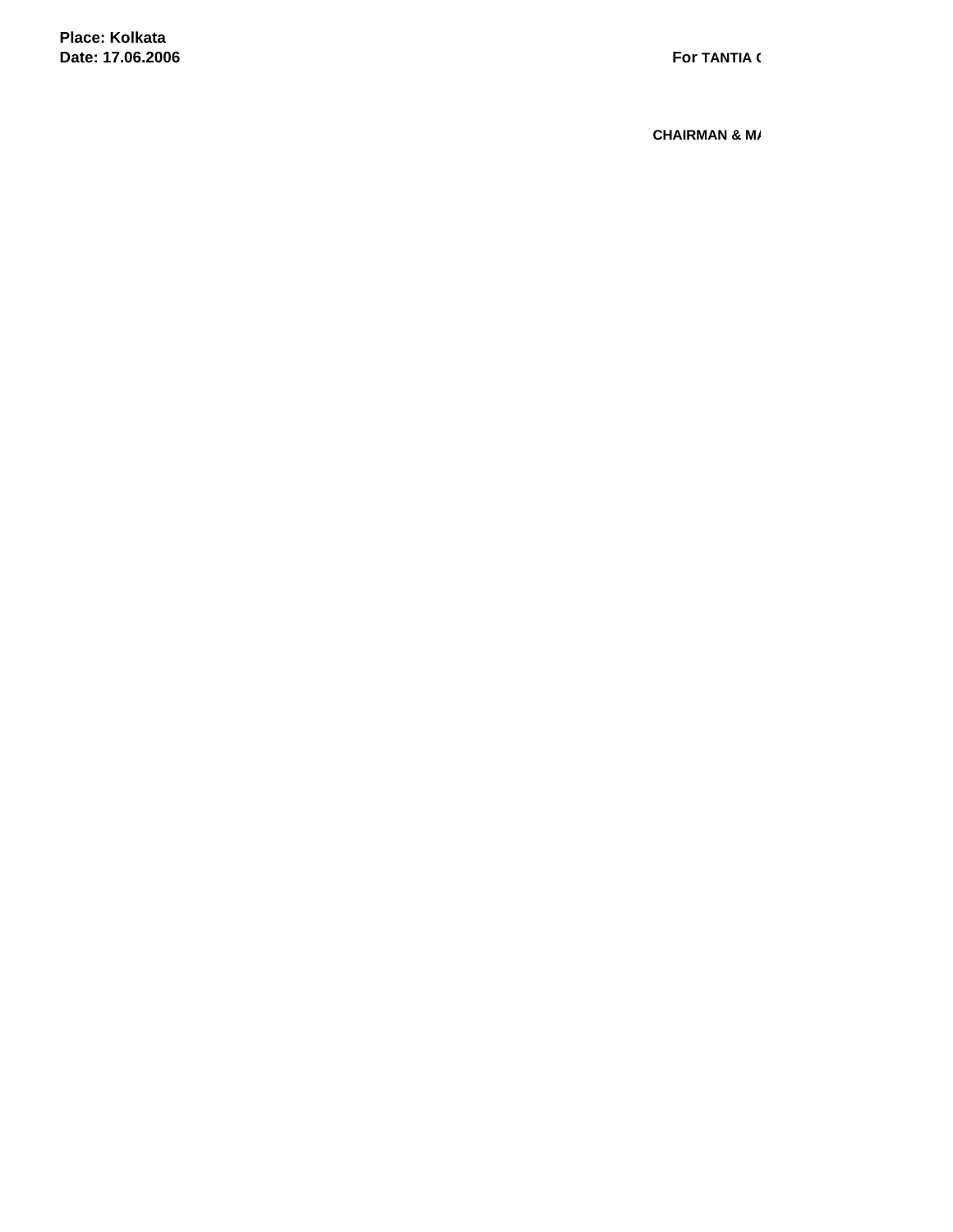**Place: Kolkata Date: 17.06.2006**

**CHAIRMAN & M/**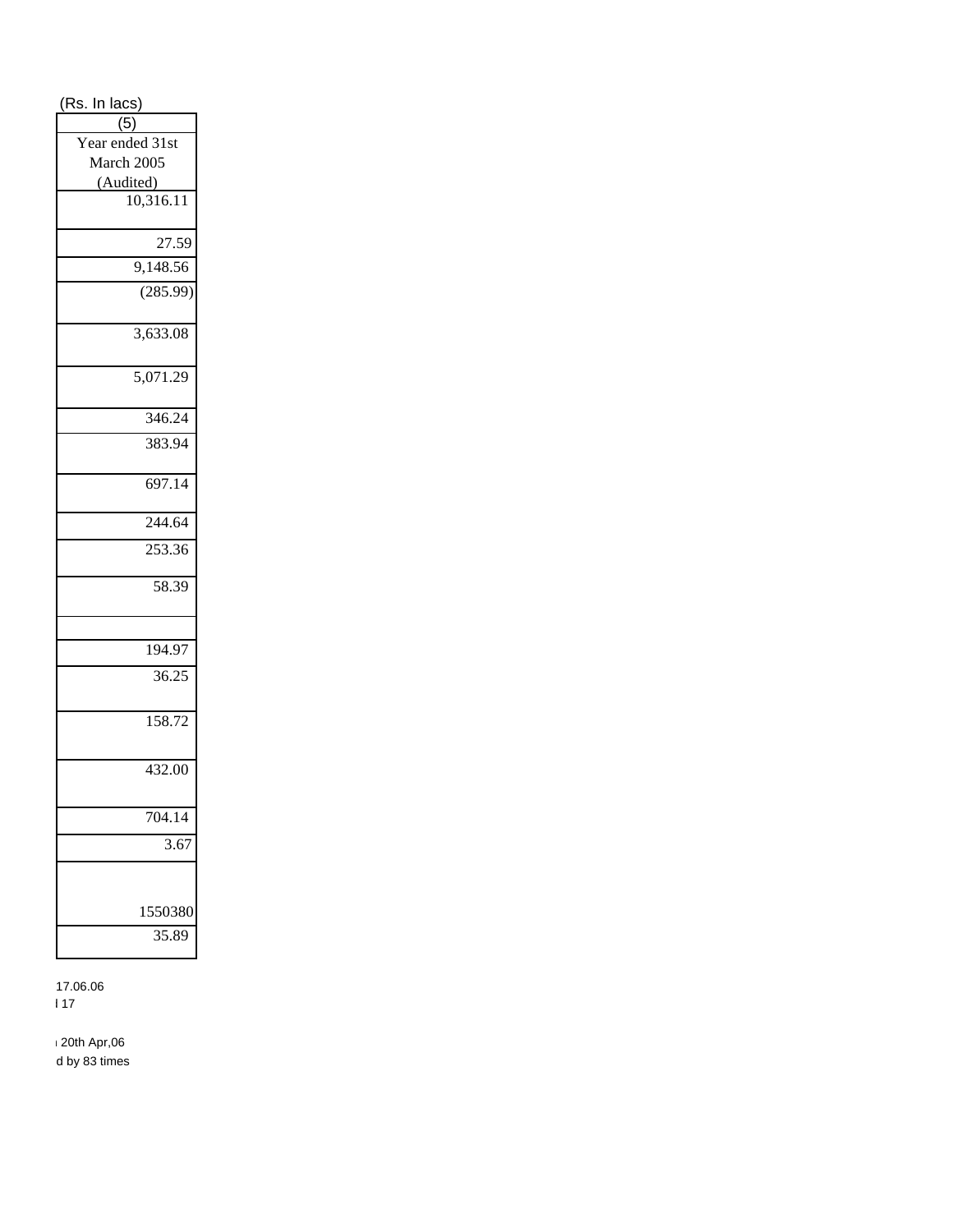| (Rs. In lacs)                 |  |  |  |  |
|-------------------------------|--|--|--|--|
| $\overline{(5)}$              |  |  |  |  |
| Year ended 31st               |  |  |  |  |
| March 2005                    |  |  |  |  |
| $\frac{(Audited)}{10,316.11}$ |  |  |  |  |
|                               |  |  |  |  |
|                               |  |  |  |  |
| 27.59                         |  |  |  |  |
| 9,148.56                      |  |  |  |  |
| (285.99)                      |  |  |  |  |
| 3,633.08                      |  |  |  |  |
| 5,071.29                      |  |  |  |  |
| 346.24                        |  |  |  |  |
| 383.94                        |  |  |  |  |
| 697.14                        |  |  |  |  |
| 244.64                        |  |  |  |  |
| 253.36                        |  |  |  |  |
| 58.39                         |  |  |  |  |
|                               |  |  |  |  |
| 194.97                        |  |  |  |  |
| 36.25                         |  |  |  |  |
| 158.72                        |  |  |  |  |
| 432.00                        |  |  |  |  |
| 704.14                        |  |  |  |  |
| $\overline{3.67}$             |  |  |  |  |
|                               |  |  |  |  |
| 1550380                       |  |  |  |  |
| 35.89                         |  |  |  |  |

 $17.06.06$  $\blacksquare$ 

 $120th$  Apr,06 d by 83 times